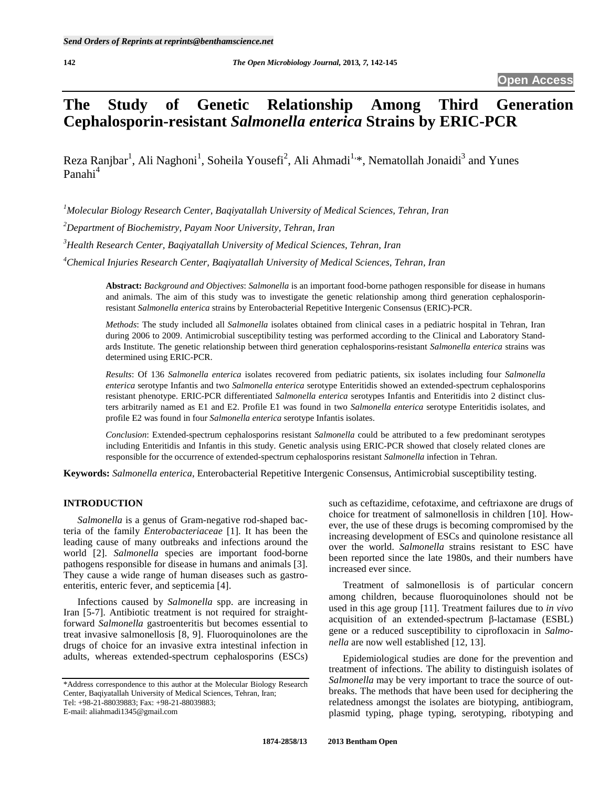# **The Study of Genetic Relationship Among Third Generation Cephalosporin-resistant** *Salmonella enterica* **Strains by ERIC-PCR**

Reza Ranjbar<sup>1</sup>, Ali Naghoni<sup>1</sup>, Soheila Yousefi<sup>2</sup>, Ali Ahmadi<sup>1,</sup>\*, Nematollah Jonaidi<sup>3</sup> and Yunes Panahi<sup>4</sup>

*1 Molecular Biology Research Center, Baqiyatallah University of Medical Sciences, Tehran, Iran*

*2 Department of Biochemistry, Payam Noor University, Tehran, Iran*

*3 Health Research Center, Baqiyatallah University of Medical Sciences, Tehran, Iran*

*4 Chemical Injuries Research Center, Baqiyatallah University of Medical Sciences, Tehran, Iran*

**Abstract:** *Background and Objectives*: *Salmonella* is an important food-borne pathogen responsible for disease in humans and animals. The aim of this study was to investigate the genetic relationship among third generation cephalosporinresistant *Salmonella enterica* strains by Enterobacterial Repetitive Intergenic Consensus (ERIC)-PCR.

*Methods*: The study included all *Salmonella* isolates obtained from clinical cases in a pediatric hospital in Tehran, Iran during 2006 to 2009. Antimicrobial susceptibility testing was performed according to the Clinical and Laboratory Standards Institute. The genetic relationship between third generation cephalosporins-resistant *Salmonella enterica* strains was determined using ERIC-PCR.

*Results*: Of 136 *Salmonella enterica* isolates recovered from pediatric patients, six isolates including four *Salmonella enterica* serotype Infantis and two *Salmonella enterica* serotype Enteritidis showed an extended-spectrum cephalosporins resistant phenotype. ERIC-PCR differentiated *Salmonella enterica* serotypes Infantis and Enteritidis into 2 distinct clusters arbitrarily named as E1 and E2. Profile E1 was found in two *Salmonella enterica* serotype Enteritidis isolates, and profile E2 was found in four *Salmonella enterica* serotype Infantis isolates.

*Conclusion*: Extended-spectrum cephalosporins resistant *Salmonella* could be attributed to a few predominant serotypes including Enteritidis and Infantis in this study. Genetic analysis using ERIC-PCR showed that closely related clones are responsible for the occurrence of extended-spectrum cephalosporins resistant *Salmonella* infection in Tehran.

**Keywords:** *Salmonella enterica*, Enterobacterial Repetitive Intergenic Consensus, Antimicrobial susceptibility testing.

# **INTRODUCTION**

*Salmonella* is a genus of Gram-negative rod-shaped bacteria of the family *Enterobacteriaceae* [1]. It has been the leading cause of many outbreaks and infections around the world [2]. *Salmonella* species are important food-borne pathogens responsible for disease in humans and animals [3]. They cause a wide range of human diseases such as gastroenteritis, enteric fever, and septicemia [4].

Infections caused by *Salmonella* spp. are increasing in Iran [5-7]. Antibiotic treatment is not required for straightforward *Salmonella* gastroenteritis but becomes essential to treat invasive salmonellosis [8, 9]. Fluoroquinolones are the drugs of choice for an invasive extra intestinal infection in adults, whereas extended-spectrum cephalosporins (ESCs) such as ceftazidime, cefotaxime, and ceftriaxone are drugs of choice for treatment of salmonellosis in children [10]. However, the use of these drugs is becoming compromised by the increasing development of ESCs and quinolone resistance all over the world. *Salmonella* strains resistant to ESC have been reported since the late 1980s, and their numbers have increased ever since.

Treatment of salmonellosis is of particular concern among children, because fluoroquinolones should not be used in this age group [11]. Treatment failures due to *in vivo* acquisition of an extended-spectrum β-lactamase (ESBL) gene or a reduced susceptibility to ciprofloxacin in *Salmonella* are now well established [12, 13].

Epidemiological studies are done for the prevention and treatment of infections. The ability to distinguish isolates of *Salmonella* may be very important to trace the source of outbreaks. The methods that have been used for deciphering the relatedness amongst the isolates are biotyping, antibiogram, plasmid typing, phage typing, serotyping, ribotyping and

<sup>\*</sup>Address correspondence to this author at the Molecular Biology Research Center, Baqiyatallah University of Medical Sciences, Tehran, Iran; Tel: +98-21-88039883; Fax: +98-21-88039883; [E-mail:](mailto:E-mail:) aliahmadi1345@gmail.com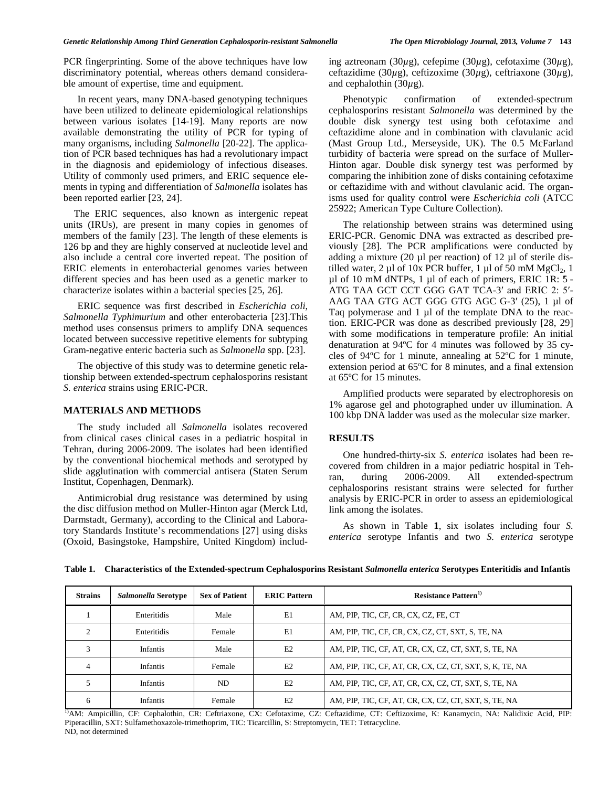PCR fingerprinting. Some of the above techniques have low discriminatory potential, whereas others demand considerable amount of expertise, time and equipment.

In recent years, many DNA-based genotyping techniques have been utilized to delineate epidemiological relationships between various isolates [14-19]. Many reports are now available demonstrating the utility of PCR for typing of many organisms, including *Salmonella* [20-22]. The application of PCR based techniques has had a revolutionary impact in the diagnosis and epidemiology of infectious diseases. Utility of commonly used primers, and ERIC sequence elements in typing and differentiation of *Salmonella* isolates has been reported earlier [23, 24].

The ERIC sequences, also known as intergenic repeat units (IRUs), are present in many copies in genomes of members of the family [23]. The length of these elements is 126 bp and they are highly conserved at nucleotide level and also include a central core inverted repeat. The position of ERIC elements in enterobacterial genomes varies between different species and has been used as a genetic marker to characterize isolates within a bacterial species [25, 26].

ERIC sequence was first described in *Escherichia coli*, *Salmonella Typhimurium* and other enterobacteria [23].This method uses consensus primers to amplify DNA sequences located between successive repetitive elements for subtyping Gram-negative enteric bacteria such as *Salmonella* spp. [23].

The objective of this study was to determine genetic relationship between extended-spectrum cephalosporins resistant *S. enterica* strains using ERIC-PCR.

#### **MATERIALS AND METHODS**

The study included all *Salmonella* isolates recovered from clinical cases clinical cases in a pediatric hospital in Tehran, during 2006-2009. The isolates had been identified by the conventional biochemical methods and serotyped by slide agglutination with commercial antisera (Staten Serum Institut, Copenhagen, Denmark).

Antimicrobial drug resistance was determined by using the disc diffusion method on Muller-Hinton agar (Merck Ltd, Darmstadt, Germany), according to the Clinical and Laboratory Standards Institute's recommendations [27] using disks (Oxoid, Basingstoke, Hampshire, United Kingdom) including aztreonam (30*µ*g), cefepime (30*µ*g), cefotaxime (30*µ*g), ceftazidime (30*µ*g), ceftizoxime (30*µ*g), ceftriaxone (30*µ*g), and cephalothin (30*µ*g).

Phenotypic confirmation of extended-spectrum cephalosporins resistant *Salmonella* was determined by the double disk synergy test using both cefotaxime and ceftazidime alone and in combination with clavulanic acid (Mast Group Ltd., Merseyside, UK). The 0.5 McFarland turbidity of bacteria were spread on the surface of Muller-Hinton agar. Double disk synergy test was performed by comparing the inhibition zone of disks containing cefotaxime or ceftazidime with and without clavulanic acid. The organisms used for quality control were *Escherichia coli* (ATCC 25922; American Type Culture Collection).

The relationship between strains was determined using ERIC-PCR. Genomic DNA was extracted as described previously [28]. The PCR amplifications were conducted by adding a mixture (20  $\mu$ l per reaction) of 12  $\mu$ l of sterile distilled water, 2 µl of 10x PCR buffer, 1 µl of 50 mM MgCl<sub>2</sub>, 1  $\mu$ l of 10 mM dNTPs, 1  $\mu$ l of each of primers, ERIC 1R: 5 -ATG TAA GCT CCT GGG GAT TCA-3′ and ERIC 2: 5′- AAG TAA GTG ACT GGG GTG AGC G-3′ (25), 1 µl of Taq polymerase and 1 µl of the template DNA to the reaction. ERIC-PCR was done as described previously [28, 29] with some modifications in temperature profile: An initial denaturation at 94ºC for 4 minutes was followed by 35 cycles of 94ºC for 1 minute, annealing at 52ºC for 1 minute, extension period at 65ºC for 8 minutes, and a final extension at 65ºC for 15 minutes.

Amplified products were separated by electrophoresis on 1% agarose gel and photographed under uv illumination. A 100 kbp DNA ladder was used as the molecular size marker.

### **RESULTS**

One hundred-thirty-six *S. enterica* isolates had been recovered from children in a major pediatric hospital in Tehran, during 2006-2009. All extended-spectrum cephalosporins resistant strains were selected for further analysis by ERIC-PCR in order to assess an epidemiological link among the isolates.

As shown in Table **1**, six isolates including four *S. enterica* serotype Infantis and two *S. enterica* serotype

| <b>Strains</b> | Salmonella Serotype | <b>Sex of Patient</b> | <b>ERIC Pattern</b> | <b>Resistance Pattern</b> <sup>1)</sup>                 |
|----------------|---------------------|-----------------------|---------------------|---------------------------------------------------------|
|                | Enteritidis         | Male                  | E1                  | AM, PIP, TIC, CF, CR, CX, CZ, FE, CT                    |
| $\overline{c}$ | Enteritidis         | Female                | E1                  | AM, PIP, TIC, CF, CR, CX, CZ, CT, SXT, S, TE, NA        |
| 3              | Infantis            | Male                  | E2                  | AM, PIP, TIC, CF, AT, CR, CX, CZ, CT, SXT, S, TE, NA    |
| 4              | <b>Infantis</b>     | Female                | E2                  | AM, PIP, TIC, CF, AT, CR, CX, CZ, CT, SXT, S, K, TE, NA |
|                | <b>Infantis</b>     | ND.                   | E2                  | AM, PIP, TIC, CF, AT, CR, CX, CZ, CT, SXT, S, TE, NA    |
| 6              | <b>Infantis</b>     | Female                | E <sub>2</sub>      | AM, PIP, TIC, CF, AT, CR, CX, CZ, CT, SXT, S, TE, NA    |

**Table 1. Characteristics of the Extended-spectrum Cephalosporins Resistant** *Salmonella enterica* **Serotypes Enteritidis and Infantis**

<sup>1)</sup>AM: Ampicillin, CF: Cephalothin, CR: Ceftriaxone, CX: Cefotaxime, CZ: Ceftazidime, CT: Ceftizoxime, K: Kanamycin, NA: Nalidixic Acid, PIP: Piperacillin, SXT: Sulfamethoxazole-trimethoprim, TIC: Ticarcillin, S: Streptomycin, TET: Tetracycline. ND, not determined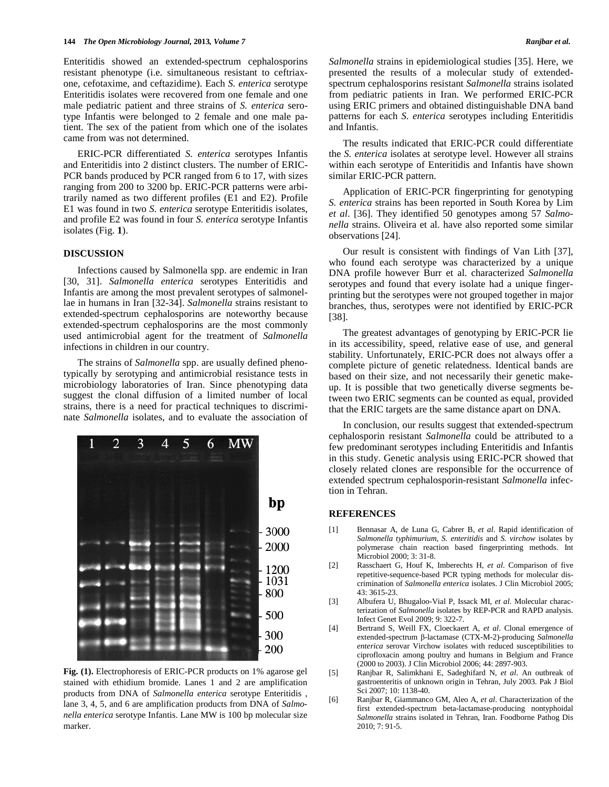Enteritidis showed an extended-spectrum cephalosporins resistant phenotype (i.e. simultaneous resistant to ceftriaxone, cefotaxime, and ceftazidime). Each *S. enterica* serotype Enteritidis isolates were recovered from one female and one male pediatric patient and three strains of *S. enterica* serotype Infantis were belonged to 2 female and one male patient. The sex of the patient from which one of the isolates came from was not determined.

ERIC-PCR differentiated *S. enterica* serotypes Infantis and Enteritidis into 2 distinct clusters. The number of ERIC-PCR bands produced by PCR ranged from 6 to 17, with sizes ranging from 200 to 3200 bp. ERIC-PCR patterns were arbitrarily named as two different profiles (E1 and E2). Profile E1 was found in two *S. enterica* serotype Enteritidis isolates, and profile E2 was found in four *S. enterica* serotype Infantis isolates (Fig. **1**).

#### **DISCUSSION**

Infections caused by Salmonella spp. are endemic in Iran [30, 31]. *Salmonella enterica* serotypes Enteritidis and Infantis are among the most prevalent serotypes of salmonellae in humans in Iran [32-34]. *Salmonella* strains resistant to extended-spectrum cephalosporins are noteworthy because extended-spectrum cephalosporins are the most commonly used antimicrobial agent for the treatment of *Salmonella*  infections in children in our country.

The strains of *Salmonella* spp. are usually defined phenotypically by serotyping and antimicrobial resistance tests in microbiology laboratories of Iran. Since phenotyping data suggest the clonal diffusion of a limited number of local strains, there is a need for practical techniques to discriminate *Salmonella* isolates, and to evaluate the association of



**Fig. (1).** Electrophoresis of ERIC-PCR products on 1% agarose gel stained with ethidium bromide. Lanes 1 and 2 are amplification products from DNA of *Salmonella enterica* serotype Enteritidis , lane 3, 4, 5, and 6 are amplification products from DNA of *Salmonella enterica* serotype Infantis. Lane MW is 100 bp molecular size marker.

*Salmonella* strains in epidemiological studies [35]. Here, we presented the results of a molecular study of extendedspectrum cephalosporins resistant *Salmonella* strains isolated from pediatric patients in Iran. We performed ERIC-PCR using ERIC primers and obtained distinguishable DNA band patterns for each *S. enterica* serotypes including Enteritidis and Infantis.

The results indicated that ERIC-PCR could differentiate the *S. enterica* isolates at serotype level. However all strains within each serotype of Enteritidis and Infantis have shown similar ERIC-PCR pattern.

Application of ERIC-PCR fingerprinting for genotyping *S. enterica* strains has been reported in South Korea by Lim *et al*. [36]. They identified 50 genotypes among 57 *Salmonella* strains. Oliveira et al. have also reported some similar observations [24].

Our result is consistent with findings of Van Lith [37], who found each serotype was characterized by a unique DNA profile however Burr et al. characterized *Salmonella*  serotypes and found that every isolate had a unique fingerprinting but the serotypes were not grouped together in major branches, thus, serotypes were not identified by ERIC-PCR [38].

The greatest advantages of genotyping by ERIC-PCR lie in its accessibility, speed, relative ease of use, and general stability. Unfortunately, ERIC-PCR does not always offer a complete picture of genetic relatedness. Identical bands are based on their size, and not necessarily their genetic makeup. It is possible that two genetically diverse segments between two ERIC segments can be counted as equal, provided that the ERIC targets are the same distance apart on DNA.

In conclusion, our results suggest that extended-spectrum cephalosporin resistant *Salmonella* could be attributed to a few predominant serotypes including Enteritidis and Infantis in this study. Genetic analysis using ERIC-PCR showed that closely related clones are responsible for the occurrence of extended spectrum cephalosporin-resistant *Salmonella* infection in Tehran.

# **REFERENCES**

- [1] Bennasar A, de Luna G, Cabrer B, *et al*. Rapid identification of *Salmonella typhimurium*, *S. enteritidis* and *S. virchow* isolates by polymerase chain reaction based fingerprinting methods. Int Microbiol 2000; 3: 31-8.
- [2] Rasschaert G, Houf K, Imberechts H, *et al*. Comparison of five repetitive-sequence-based PCR typing methods for molecular discrimination of *Salmonella enterica* isolates. J Clin Microbiol 2005; 43: 3615-23.
- [3] Albufera U, Bhugaloo-Vial P, Issack MI, *et al*. Molecular characterization of *Salmonella* isolates by REP-PCR and RAPD analysis. Infect Genet Evol 2009; 9: 322-7.
- [4] Bertrand S, Weill FX, Cloeckaert A, *et al*. Clonal emergence of extended-spectrum β-lactamase (CTX-M-2)-producing *Salmonella enterica* serovar Virchow isolates with reduced susceptibilities to ciprofloxacin among poultry and humans in Belgium and France (2000 to 2003). J Clin Microbiol 2006; 44: 2897-903.
- [5] Ranjbar R, Salimkhani E, Sadeghifard N, *et al*. An outbreak of gastroenteritis of unknown origin in Tehran, July 2003. Pak J Biol Sci 2007; 10: 1138-40.
- [6] Ranjbar R, Giammanco GM, Aleo A, *et al*. Characterization of the first extended-spectrum beta-lactamase-producing nontyphoidal *Salmonella* strains isolated in Tehran, Iran. Foodborne Pathog Dis 2010; 7: 91-5.